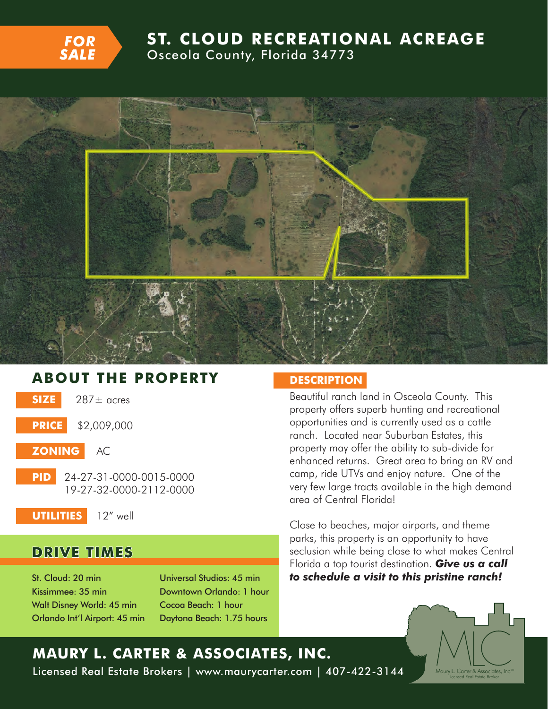

## **ST. CLOUD RECREATIONAL ACREAGE** Osceola County, Florida 34773



## **ABOUT THE PROPERTY DESCRIPTION**

- **SIZE** 287± acres
- **PRICE** \$2,009,000
- **ZONING** AC
	- **PID** 24-27-31-0000-0015-0000 19-27-32-0000-2112-0000
- **UTILITIES** 12" well

### **DRIVE TIMES**

St. Cloud: 20 min Kissimmee: 35 min Walt Disney World: 45 min Orlando Int'l Airport: 45 min Universal Studios: 45 min Downtown Orlando: 1 hour Cocoa Beach: 1 hour Daytona Beach: 1.75 hours

Beautiful ranch land in Osceola County. This property offers superb hunting and recreational opportunities and is currently used as a cattle ranch. Located near Suburban Estates, this property may offer the ability to sub-divide for enhanced returns. Great area to bring an RV and camp, ride UTVs and enjoy nature. One of the very few large tracts available in the high demand area of Central Florida!

Close to beaches, major airports, and theme parks, this property is an opportunity to have seclusion while being close to what makes Central Florida a top tourist destination. *Give us a call to schedule a visit to this pristine ranch!*



# **MAURY L. CARTER & ASSOCIATES, INC.** Licensed Real Estate Brokers | www.maurycarter.com | 407-422-3144